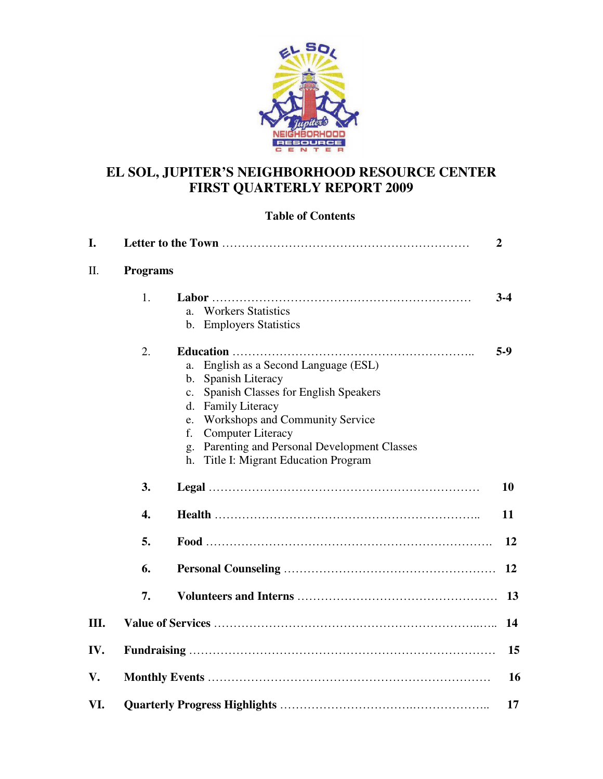

# **EL SOL, JUPITER'S NEIGHBORHOOD RESOURCE CENTER FIRST QUARTERLY REPORT 2009**

## **Table of Contents**

| I.  |                 |                                                                                                                                                                                                                                                                                                                                         | $\overline{2}$ |
|-----|-----------------|-----------------------------------------------------------------------------------------------------------------------------------------------------------------------------------------------------------------------------------------------------------------------------------------------------------------------------------------|----------------|
| II. | <b>Programs</b> |                                                                                                                                                                                                                                                                                                                                         |                |
|     | 1.              | <b>Workers Statistics</b><br>a.<br>b. Employers Statistics                                                                                                                                                                                                                                                                              | $3-4$          |
|     | 2.              | English as a Second Language (ESL)<br>a.<br>Spanish Literacy<br>b.<br>Spanish Classes for English Speakers<br>$\mathbf{c}$ .<br><b>Family Literacy</b><br>d.<br>Workshops and Community Service<br>e.<br><b>Computer Literacy</b><br>f.<br>Parenting and Personal Development Classes<br>g.<br>Title I: Migrant Education Program<br>h. | $5-9$          |
|     | 3.              |                                                                                                                                                                                                                                                                                                                                         | <b>10</b>      |
|     | 4.              |                                                                                                                                                                                                                                                                                                                                         | 11             |
|     | 5.              |                                                                                                                                                                                                                                                                                                                                         | 12             |
|     | 6.              |                                                                                                                                                                                                                                                                                                                                         | 12             |
|     | 7.              |                                                                                                                                                                                                                                                                                                                                         | 13             |
| Ш.  |                 |                                                                                                                                                                                                                                                                                                                                         | 14             |
| IV. |                 |                                                                                                                                                                                                                                                                                                                                         | 15             |
| V.  |                 |                                                                                                                                                                                                                                                                                                                                         | <b>16</b>      |
| VI. |                 |                                                                                                                                                                                                                                                                                                                                         | 17             |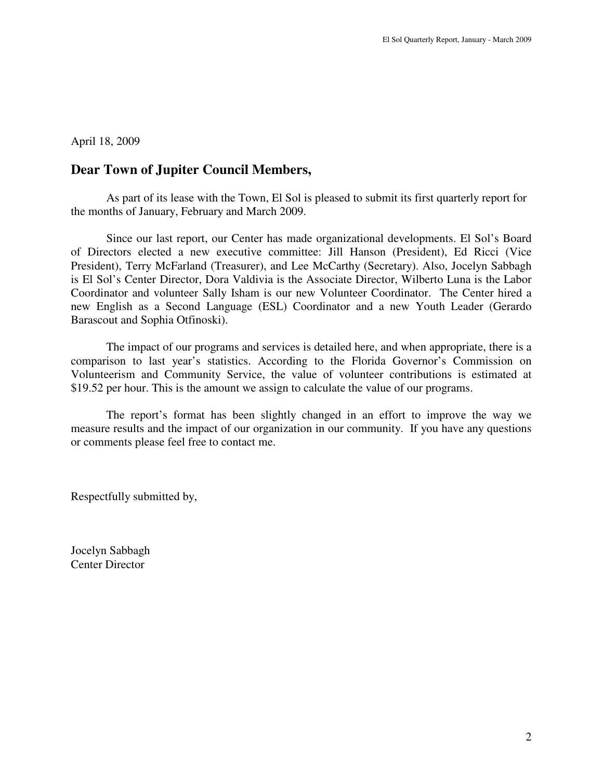April 18, 2009

# **Dear Town of Jupiter Council Members,**

 As part of its lease with the Town, El Sol is pleased to submit its first quarterly report for the months of January, February and March 2009.

Since our last report, our Center has made organizational developments. El Sol's Board of Directors elected a new executive committee: Jill Hanson (President), Ed Ricci (Vice President), Terry McFarland (Treasurer), and Lee McCarthy (Secretary). Also, Jocelyn Sabbagh is El Sol's Center Director, Dora Valdivia is the Associate Director, Wilberto Luna is the Labor Coordinator and volunteer Sally Isham is our new Volunteer Coordinator. The Center hired a new English as a Second Language (ESL) Coordinator and a new Youth Leader (Gerardo Barascout and Sophia Otfinoski).

The impact of our programs and services is detailed here, and when appropriate, there is a comparison to last year's statistics. According to the Florida Governor's Commission on Volunteerism and Community Service, the value of volunteer contributions is estimated at \$19.52 per hour. This is the amount we assign to calculate the value of our programs.

The report's format has been slightly changed in an effort to improve the way we measure results and the impact of our organization in our community. If you have any questions or comments please feel free to contact me.

Respectfully submitted by,

Jocelyn Sabbagh Center Director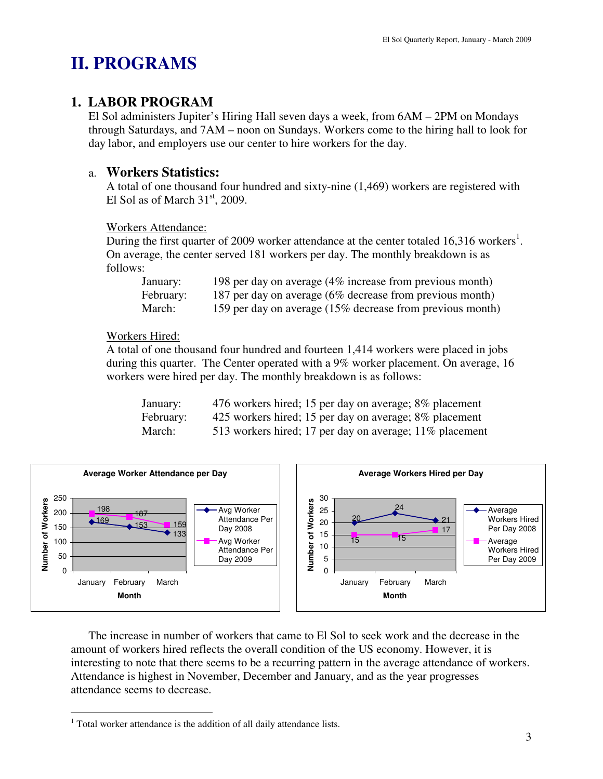# **II. PROGRAMS**

# **1. LABOR PROGRAM**

El Sol administers Jupiter's Hiring Hall seven days a week, from 6AM – 2PM on Mondays through Saturdays, and 7AM – noon on Sundays. Workers come to the hiring hall to look for day labor, and employers use our center to hire workers for the day.

# a. **Workers Statistics:**

A total of one thousand four hundred and sixty-nine (1,469) workers are registered with El Sol as of March  $31<sup>st</sup>$ , 2009.

#### Workers Attendance:

During the first quarter of 2009 worker attendance at the center totaled 16,316 workers<sup>1</sup>. On average, the center served 181 workers per day. The monthly breakdown is as follows:

| January:  | 198 per day on average (4% increase from previous month)  |
|-----------|-----------------------------------------------------------|
| February: | 187 per day on average (6% decrease from previous month)  |
| March:    | 159 per day on average (15% decrease from previous month) |

### Workers Hired:

A total of one thousand four hundred and fourteen 1,414 workers were placed in jobs during this quarter. The Center operated with a 9% worker placement. On average, 16 workers were hired per day. The monthly breakdown is as follows:

| January:  | 476 workers hired; 15 per day on average; 8% placement  |
|-----------|---------------------------------------------------------|
| February: | 425 workers hired; 15 per day on average; 8% placement  |
| March:    | 513 workers hired; 17 per day on average; 11% placement |



The increase in number of workers that came to El Sol to seek work and the decrease in the amount of workers hired reflects the overall condition of the US economy. However, it is interesting to note that there seems to be a recurring pattern in the average attendance of workers. Attendance is highest in November, December and January, and as the year progresses attendance seems to decrease.

 $\overline{a}$  $1$  Total worker attendance is the addition of all daily attendance lists.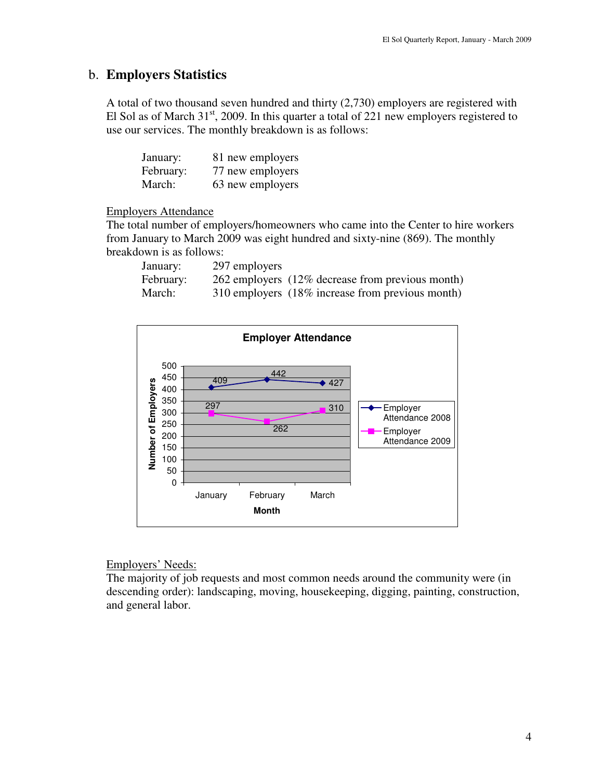### b. **Employers Statistics**

A total of two thousand seven hundred and thirty (2,730) employers are registered with El Sol as of March  $31<sup>st</sup>$ , 2009. In this quarter a total of 221 new employers registered to use our services. The monthly breakdown is as follows:

| January:  | 81 new employers |
|-----------|------------------|
| February: | 77 new employers |
| March:    | 63 new employers |

#### Employers Attendance

The total number of employers/homeowners who came into the Center to hire workers from January to March 2009 was eight hundred and sixty-nine (869). The monthly breakdown is as follows:

| January:  | 297 employers |                                                  |
|-----------|---------------|--------------------------------------------------|
| February: |               | 262 employers (12% decrease from previous month) |
| March:    |               | 310 employers (18% increase from previous month) |



#### Employers' Needs:

The majority of job requests and most common needs around the community were (in descending order): landscaping, moving, housekeeping, digging, painting, construction, and general labor.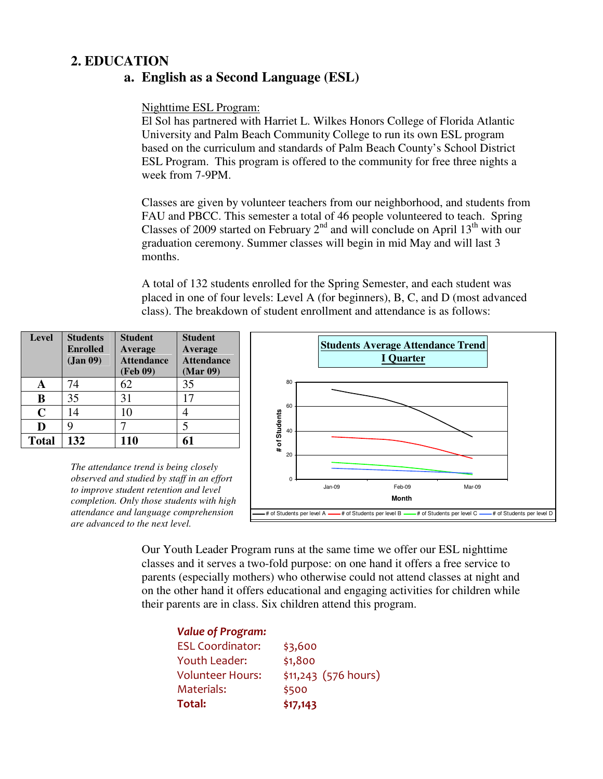# **2. EDUCATION**

## **a. English as a Second Language (ESL)**

#### Nighttime ESL Program:

El Sol has partnered with Harriet L. Wilkes Honors College of Florida Atlantic University and Palm Beach Community College to run its own ESL program based on the curriculum and standards of Palm Beach County's School District ESL Program. This program is offered to the community for free three nights a week from 7-9PM.

Classes are given by volunteer teachers from our neighborhood, and students from FAU and PBCC. This semester a total of 46 people volunteered to teach. Spring Classes of 2009 started on February  $2^{nd}$  and will conclude on April 13<sup>th</sup> with our graduation ceremony. Summer classes will begin in mid May and will last 3 months.

A total of 132 students enrolled for the Spring Semester, and each student was placed in one of four levels: Level A (for beginners), B, C, and D (most advanced class). The breakdown of student enrollment and attendance is as follows:

| <b>Level</b> | <b>Students</b><br><b>Enrolled</b><br>(Jan 09) | <b>Student</b><br>Average<br><b>Attendance</b><br>(Feb 09) | <b>Student</b><br>Average<br><b>Attendance</b><br>(Mar 09) |
|--------------|------------------------------------------------|------------------------------------------------------------|------------------------------------------------------------|
|              | 74                                             | 62                                                         | 35                                                         |
| B            | 35                                             | 31                                                         | 17                                                         |
| $\mathbf C$  | 14                                             | 10                                                         |                                                            |
| D            |                                                |                                                            | 5                                                          |
| <b>Total</b> | 132                                            | 110                                                        | 61                                                         |

*The attendance trend is being closely observed and studied by staff in an effort to improve student retention and level completion. Only those students with high attendance and language comprehension are advanced to the next level.* 



Our Youth Leader Program runs at the same time we offer our ESL nighttime classes and it serves a two-fold purpose: on one hand it offers a free service to parents (especially mothers) who otherwise could not attend classes at night and on the other hand it offers educational and engaging activities for children while their parents are in class. Six children attend this program.

| <b>Value of Program:</b> |                       |  |
|--------------------------|-----------------------|--|
| <b>ESL Coordinator:</b>  | \$3,600               |  |
| Youth Leader:            | \$1,800               |  |
| <b>Volunteer Hours:</b>  | $$11,243$ (576 hours) |  |
| Materials:               | \$500                 |  |
| Total:                   | \$17,143              |  |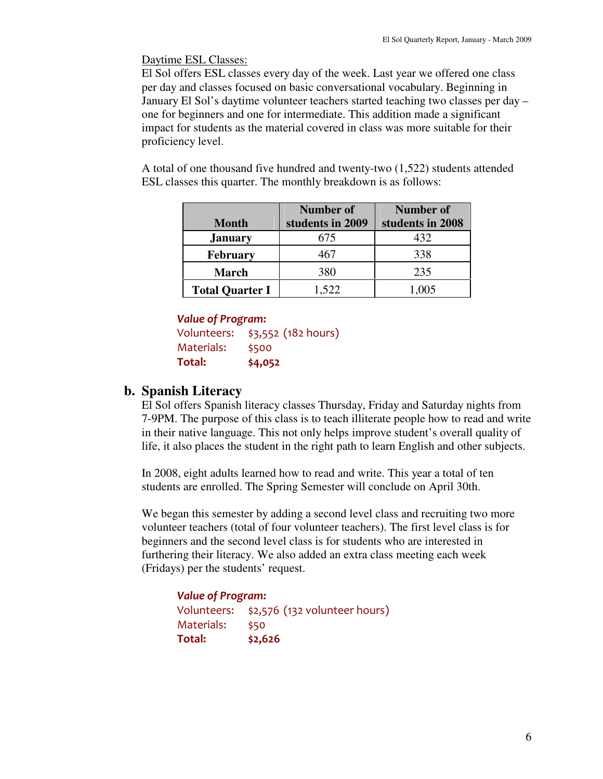Daytime ESL Classes:

El Sol offers ESL classes every day of the week. Last year we offered one class per day and classes focused on basic conversational vocabulary. Beginning in January El Sol's daytime volunteer teachers started teaching two classes per day – one for beginners and one for intermediate. This addition made a significant impact for students as the material covered in class was more suitable for their proficiency level.

A total of one thousand five hundred and twenty-two (1,522) students attended ESL classes this quarter. The monthly breakdown is as follows:

|                        | <b>Number of</b> | <b>Number of</b> |
|------------------------|------------------|------------------|
| <b>Month</b>           | students in 2009 | students in 2008 |
| <b>January</b>         | 675              | 432              |
| <b>February</b>        | 467              | 338              |
| <b>March</b>           | 380              | 235              |
| <b>Total Quarter I</b> | 1,522            | 1,005            |

#### Value of Program:

```
Volunteers: $3,552 (182 hours) 
Materials: $500 
Total: $4,052
```
## **b. Spanish Literacy**

El Sol offers Spanish literacy classes Thursday, Friday and Saturday nights from 7-9PM. The purpose of this class is to teach illiterate people how to read and write in their native language. This not only helps improve student's overall quality of life, it also places the student in the right path to learn English and other subjects.

In 2008, eight adults learned how to read and write. This year a total of ten students are enrolled. The Spring Semester will conclude on April 30th.

We began this semester by adding a second level class and recruiting two more volunteer teachers (total of four volunteer teachers). The first level class is for beginners and the second level class is for students who are interested in furthering their literacy. We also added an extra class meeting each week (Fridays) per the students' request.

Value of Program: Volunteers: \$2,576 (132 volunteer hours) Materials: \$50 Total: \$2,626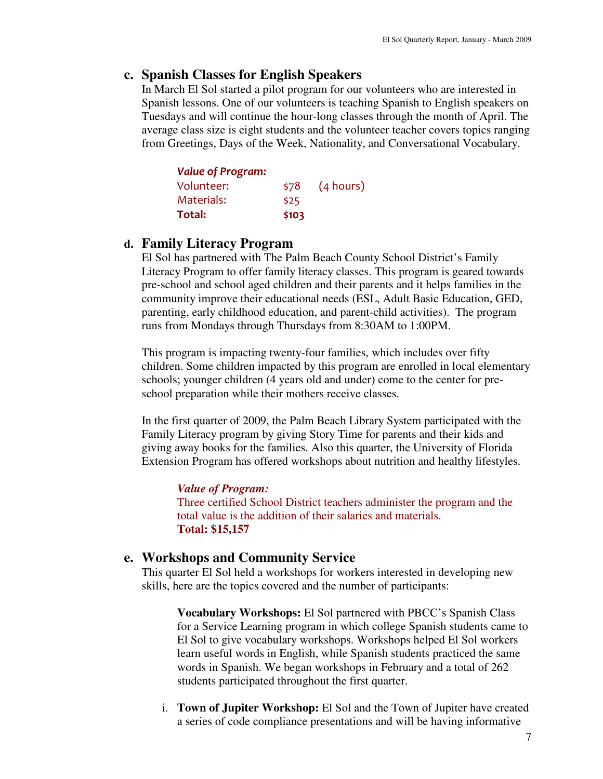### **c. Spanish Classes for English Speakers**

In March El Sol started a pilot program for our volunteers who are interested in Spanish lessons. One of our volunteers is teaching Spanish to English speakers on Tuesdays and will continue the hour-long classes through the month of April. The average class size is eight students and the volunteer teacher covers topics ranging from Greetings, Days of the Week, Nationality, and Conversational Vocabulary.

| <b>Value of Program:</b> |       |           |
|--------------------------|-------|-----------|
| Volunteer:               | \$78  | (4 hours) |
| Materials:               | \$25  |           |
| Total:                   | \$103 |           |

#### **d. Family Literacy Program**

El Sol has partnered with The Palm Beach County School District's Family Literacy Program to offer family literacy classes. This program is geared towards pre-school and school aged children and their parents and it helps families in the community improve their educational needs (ESL, Adult Basic Education, GED, parenting, early childhood education, and parent-child activities). The program runs from Mondays through Thursdays from 8:30AM to 1:00PM.

This program is impacting twenty-four families, which includes over fifty children. Some children impacted by this program are enrolled in local elementary schools; younger children (4 years old and under) come to the center for preschool preparation while their mothers receive classes.

In the first quarter of 2009, the Palm Beach Library System participated with the Family Literacy program by giving Story Time for parents and their kids and giving away books for the families. Also this quarter, the University of Florida Extension Program has offered workshops about nutrition and healthy lifestyles.

#### *Value of Program:*

Three certified School District teachers administer the program and the total value is the addition of their salaries and materials. **Total: \$15,157**

### **e. Workshops and Community Service**

This quarter El Sol held a workshops for workers interested in developing new skills, here are the topics covered and the number of participants:

**Vocabulary Workshops:** El Sol partnered with PBCC's Spanish Class for a Service Learning program in which college Spanish students came to El Sol to give vocabulary workshops. Workshops helped El Sol workers learn useful words in English, while Spanish students practiced the same words in Spanish. We began workshops in February and a total of 262 students participated throughout the first quarter.

i. **Town of Jupiter Workshop:** El Sol and the Town of Jupiter have created a series of code compliance presentations and will be having informative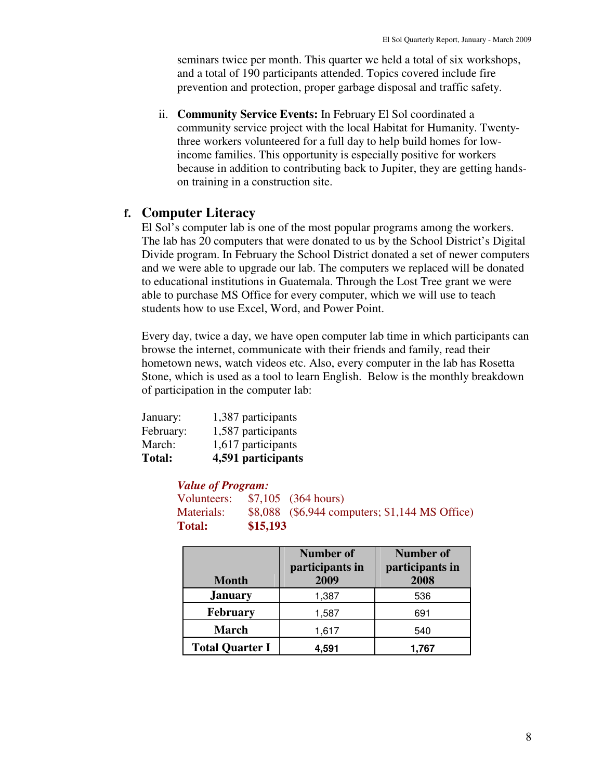seminars twice per month. This quarter we held a total of six workshops, and a total of 190 participants attended. Topics covered include fire prevention and protection, proper garbage disposal and traffic safety.

ii. **Community Service Events:** In February El Sol coordinated a community service project with the local Habitat for Humanity. Twentythree workers volunteered for a full day to help build homes for lowincome families. This opportunity is especially positive for workers because in addition to contributing back to Jupiter, they are getting handson training in a construction site.

### **f. Computer Literacy**

El Sol's computer lab is one of the most popular programs among the workers. The lab has 20 computers that were donated to us by the School District's Digital Divide program. In February the School District donated a set of newer computers and we were able to upgrade our lab. The computers we replaced will be donated to educational institutions in Guatemala. Through the Lost Tree grant we were able to purchase MS Office for every computer, which we will use to teach students how to use Excel, Word, and Power Point.

Every day, twice a day, we have open computer lab time in which participants can browse the internet, communicate with their friends and family, read their hometown news, watch videos etc. Also, every computer in the lab has Rosetta Stone, which is used as a tool to learn English. Below is the monthly breakdown of participation in the computer lab:

| January:<br>February: | 1,387 participants<br>1,587 participants |
|-----------------------|------------------------------------------|
| March:                | 1,617 participants                       |
| <b>Total:</b>         | 4,591 participants                       |

#### *Value of Program:*

| <b>Total:</b> | \$15,193 |                                                |
|---------------|----------|------------------------------------------------|
| Materials:    |          | \$8,088 (\$6,944 computers; \$1,144 MS Office) |
| Volunteers:   |          | $$7,105$ (364 hours)                           |

| <b>Month</b>           | <b>Number of</b><br>participants in<br>2009 | <b>Number of</b><br>participants in<br>2008 |
|------------------------|---------------------------------------------|---------------------------------------------|
| <b>January</b>         | 1,387                                       | 536                                         |
| <b>February</b>        | 1,587                                       | 691                                         |
| <b>March</b>           | 1,617                                       | 540                                         |
| <b>Total Quarter I</b> | 4,591                                       | 1,767                                       |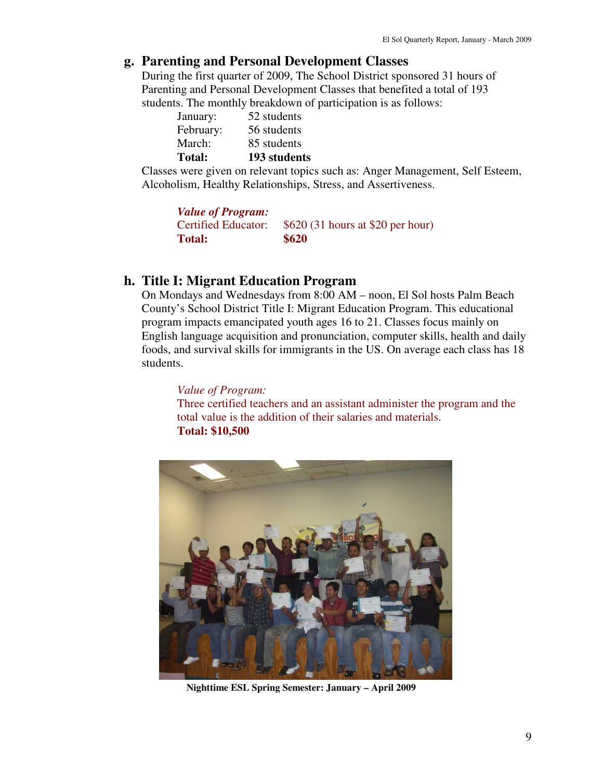### **g. Parenting and Personal Development Classes**

During the first quarter of 2009, The School District sponsored 31 hours of Parenting and Personal Development Classes that benefited a total of 193 students. The monthly breakdown of participation is as follows:

| 85 students |
|-------------|
| 56 students |
| 52 students |
|             |

Classes were given on relevant topics such as: Anger Management, Self Esteem, Alcoholism, Healthy Relationships, Stress, and Assertiveness.

| <b>Value of Program:</b>   |                                   |
|----------------------------|-----------------------------------|
| <b>Certified Educator:</b> | \$620 (31 hours at \$20 per hour) |
| <b>Total:</b>              | \$620                             |

## **h. Title I: Migrant Education Program**

On Mondays and Wednesdays from 8:00 AM – noon, El Sol hosts Palm Beach County's School District Title I: Migrant Education Program. This educational program impacts emancipated youth ages 16 to 21. Classes focus mainly on English language acquisition and pronunciation, computer skills, health and daily foods, and survival skills for immigrants in the US. On average each class has 18 students.

*Value of Program:*  Three certified teachers and an assistant administer the program and the total value is the addition of their salaries and materials. **Total: \$10,500** 



**Nighttime ESL Spring Semester: January – April 2009**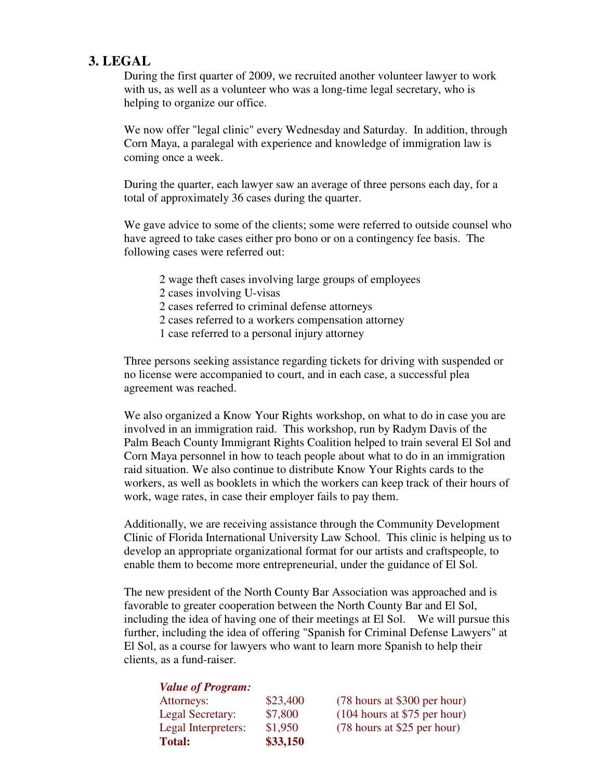## **3. LEGAL**

During the first quarter of 2009, we recruited another volunteer lawyer to work with us, as well as a volunteer who was a long-time legal secretary, who is helping to organize our office.

We now offer "legal clinic" every Wednesday and Saturday. In addition, through Corn Maya, a paralegal with experience and knowledge of immigration law is coming once a week.

During the quarter, each lawyer saw an average of three persons each day, for a total of approximately 36 cases during the quarter.

We gave advice to some of the clients; some were referred to outside counsel who have agreed to take cases either pro bono or on a contingency fee basis. The following cases were referred out:

- 2 wage theft cases involving large groups of employees
- 2 cases involving U-visas
- 2 cases referred to criminal defense attorneys
- 2 cases referred to a workers compensation attorney
- 1 case referred to a personal injury attorney

Three persons seeking assistance regarding tickets for driving with suspended or no license were accompanied to court, and in each case, a successful plea agreement was reached.

We also organized a Know Your Rights workshop, on what to do in case you are involved in an immigration raid. This workshop, run by Radym Davis of the Palm Beach County Immigrant Rights Coalition helped to train several El Sol and Corn Maya personnel in how to teach people about what to do in an immigration raid situation. We also continue to distribute Know Your Rights cards to the workers, as well as booklets in which the workers can keep track of their hours of work, wage rates, in case their employer fails to pay them.

Additionally, we are receiving assistance through the Community Development Clinic of Florida International University Law School. This clinic is helping us to develop an appropriate organizational format for our artists and craftspeople, to enable them to become more entrepreneurial, under the guidance of El Sol.

The new president of the North County Bar Association was approached and is favorable to greater cooperation between the North County Bar and El Sol, including the idea of having one of their meetings at El Sol. We will pursue this further, including the idea of offering "Spanish for Criminal Defense Lawyers" at El Sol, as a course for lawyers who want to learn more Spanish to help their clients, as a fund-raiser.

| <b>Value of Program:</b> |          |                                |
|--------------------------|----------|--------------------------------|
| Attorneys:               | \$23,400 | (78 hours at \$300 per hour)   |
| Legal Secretary:         | \$7,800  | $(104$ hours at \$75 per hour) |
| Legal Interpreters:      | \$1,950  | (78 hours at \$25 per hour)    |
| <b>Total:</b>            | \$33,150 |                                |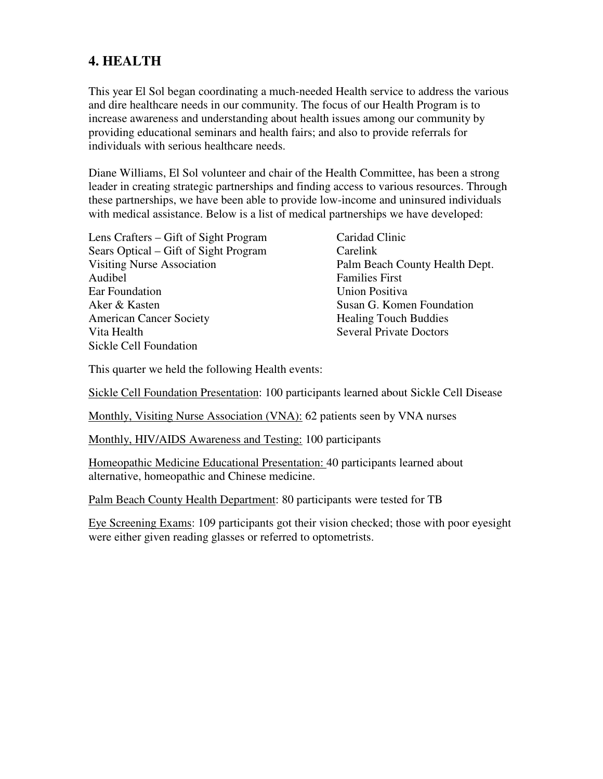# **4. HEALTH**

This year El Sol began coordinating a much-needed Health service to address the various and dire healthcare needs in our community. The focus of our Health Program is to increase awareness and understanding about health issues among our community by providing educational seminars and health fairs; and also to provide referrals for individuals with serious healthcare needs.

Diane Williams, El Sol volunteer and chair of the Health Committee, has been a strong leader in creating strategic partnerships and finding access to various resources. Through these partnerships, we have been able to provide low-income and uninsured individuals with medical assistance. Below is a list of medical partnerships we have developed:

| Lens Crafters – Gift of Sight Program |  |  |
|---------------------------------------|--|--|
| Sears Optical – Gift of Sight Program |  |  |
| <b>Visiting Nurse Association</b>     |  |  |
| Audibel                               |  |  |
| Ear Foundation                        |  |  |
| Aker & Kasten                         |  |  |
| <b>American Cancer Society</b>        |  |  |
| Vita Health                           |  |  |
| Sickle Cell Foundation                |  |  |
|                                       |  |  |

Caridad Clinic Carelink Palm Beach County Health Dept. **Families First Union Positiva** Susan G. Komen Foundation Healing Touch Buddies **Several Private Doctors** 

This quarter we held the following Health events:

Sickle Cell Foundation Presentation: 100 participants learned about Sickle Cell Disease

Monthly, Visiting Nurse Association (VNA): 62 patients seen by VNA nurses

Monthly, HIV/AIDS Awareness and Testing: 100 participants

Homeopathic Medicine Educational Presentation: 40 participants learned about alternative, homeopathic and Chinese medicine.

Palm Beach County Health Department: 80 participants were tested for TB

Eye Screening Exams: 109 participants got their vision checked; those with poor eyesight were either given reading glasses or referred to optometrists.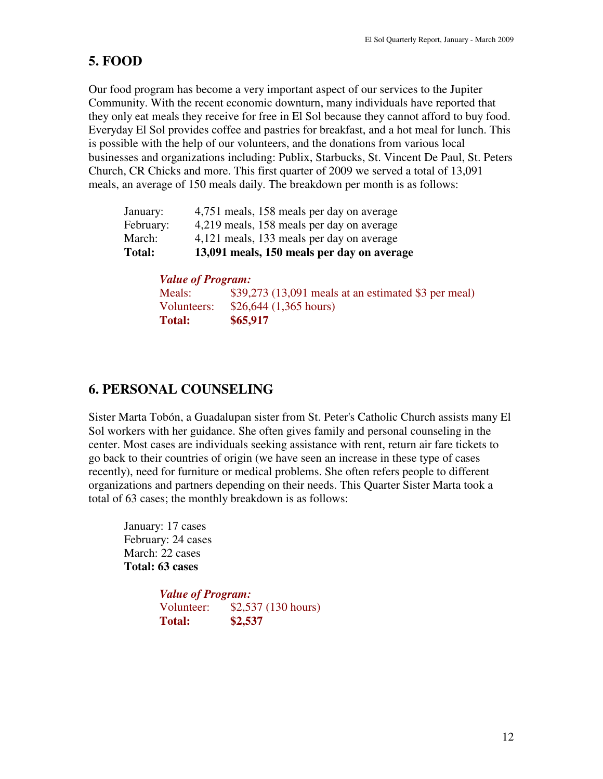# **5. FOOD**

Our food program has become a very important aspect of our services to the Jupiter Community. With the recent economic downturn, many individuals have reported that they only eat meals they receive for free in El Sol because they cannot afford to buy food. Everyday El Sol provides coffee and pastries for breakfast, and a hot meal for lunch. This is possible with the help of our volunteers, and the donations from various local businesses and organizations including: Publix, Starbucks, St. Vincent De Paul, St. Peters Church, CR Chicks and more. This first quarter of 2009 we served a total of 13,091 meals, an average of 150 meals daily. The breakdown per month is as follows:

| Total:    | 13,091 meals, 150 meals per day on average |
|-----------|--------------------------------------------|
| March:    | 4,121 meals, 133 meals per day on average  |
| February: | 4,219 meals, 158 meals per day on average  |
| January:  | 4,751 meals, 158 meals per day on average  |

| <b>Value of Program:</b> |                                                       |  |  |
|--------------------------|-------------------------------------------------------|--|--|
| Meals:                   | $$39,273$ (13,091 meals at an estimated \$3 per meal) |  |  |
| Volunteers:              | $$26,644$ (1,365 hours)                               |  |  |
| <b>Total:</b>            | \$65,917                                              |  |  |

# **6. PERSONAL COUNSELING**

Sister Marta Tobón, a Guadalupan sister from St. Peter's Catholic Church assists many El Sol workers with her guidance. She often gives family and personal counseling in the center. Most cases are individuals seeking assistance with rent, return air fare tickets to go back to their countries of origin (we have seen an increase in these type of cases recently), need for furniture or medical problems. She often refers people to different organizations and partners depending on their needs. This Quarter Sister Marta took a total of 63 cases; the monthly breakdown is as follows:

 January: 17 cases February: 24 cases March: 22 cases **Total: 63 cases** 

> *Value of Program:* Volunteer: \$2,537 (130 hours) **Total: \$2,537**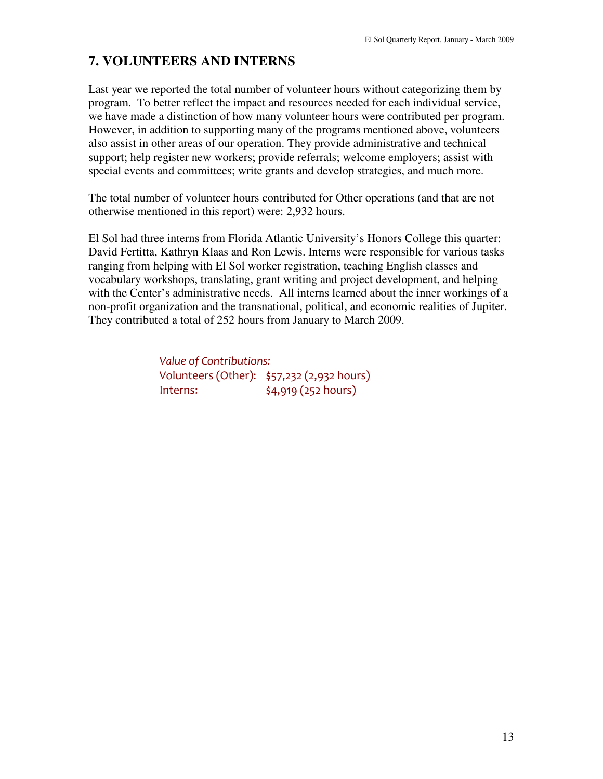# **7. VOLUNTEERS AND INTERNS**

Last year we reported the total number of volunteer hours without categorizing them by program. To better reflect the impact and resources needed for each individual service, we have made a distinction of how many volunteer hours were contributed per program. However, in addition to supporting many of the programs mentioned above, volunteers also assist in other areas of our operation. They provide administrative and technical support; help register new workers; provide referrals; welcome employers; assist with special events and committees; write grants and develop strategies, and much more.

The total number of volunteer hours contributed for Other operations (and that are not otherwise mentioned in this report) were: 2,932 hours.

El Sol had three interns from Florida Atlantic University's Honors College this quarter: David Fertitta, Kathryn Klaas and Ron Lewis. Interns were responsible for various tasks ranging from helping with El Sol worker registration, teaching English classes and vocabulary workshops, translating, grant writing and project development, and helping with the Center's administrative needs. All interns learned about the inner workings of a non-profit organization and the transnational, political, and economic realities of Jupiter. They contributed a total of 252 hours from January to March 2009.

> Value of Contributions: Volunteers (Other): \$57,232 (2,932 hours) Interns:  $\frac{1}{4,919}$  (252 hours)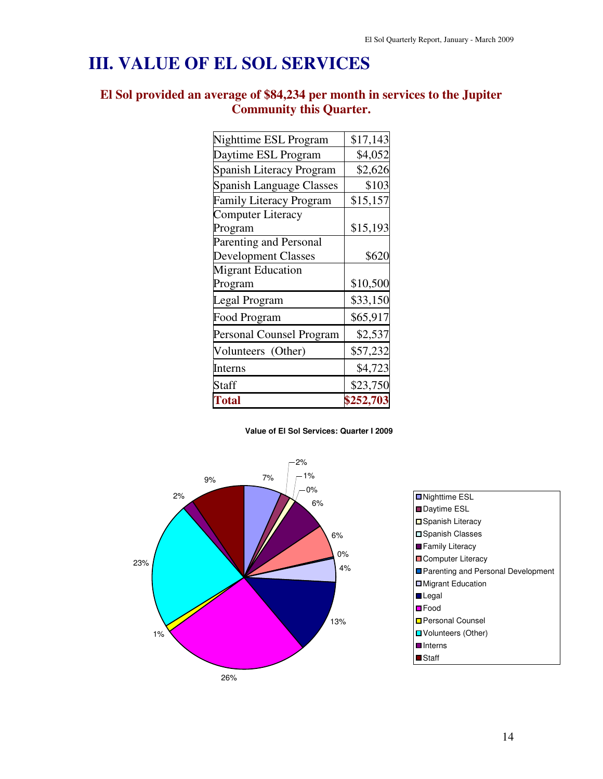# **III. VALUE OF EL SOL SERVICES**

## **El Sol provided an average of \$84,234 per month in services to the Jupiter Community this Quarter.**

| <b>Total</b>                                               | \$252,703 |
|------------------------------------------------------------|-----------|
| Staff                                                      | \$23,750  |
| Interns                                                    | \$4,723   |
| Volunteers (Other)                                         | \$57,232  |
| Personal Counsel Program                                   | \$2,537   |
| Food Program                                               | \$65,917  |
| Legal Program                                              | \$33,150  |
| Program                                                    | \$10,500  |
| <b>Migrant Education</b>                                   |           |
| <b>Development Classes</b>                                 | \$620     |
| Parenting and Personal                                     |           |
| Program                                                    | \$15,193  |
| <b>Family Literacy Program</b><br><b>Computer Literacy</b> | \$15,157  |
| <b>Spanish Language Classes</b>                            | \$103     |
| Spanish Literacy Program                                   | \$2,626   |
| Daytime ESL Program                                        | \$4,052   |
| Nighttime ESL Program                                      | \$17,143  |

**Value of El Sol Services: Quarter I 2009**



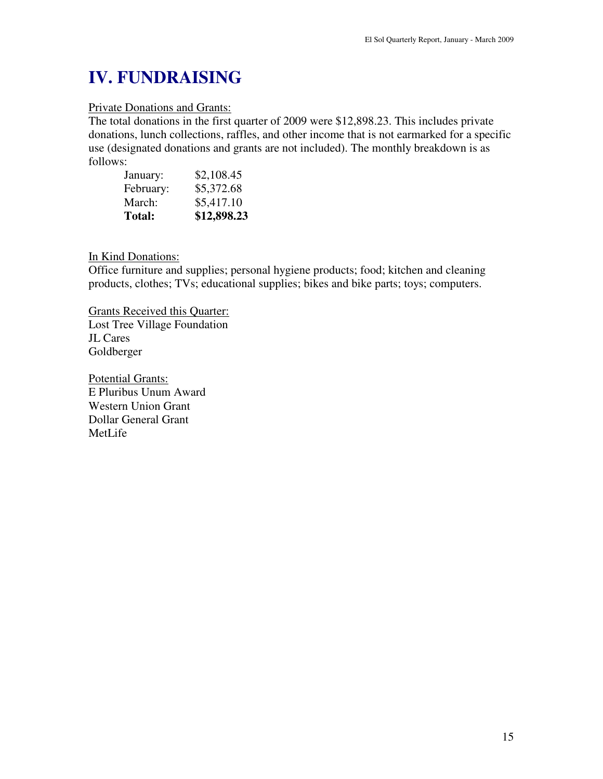# **IV. FUNDRAISING**

#### Private Donations and Grants:

The total donations in the first quarter of 2009 were \$12,898.23. This includes private donations, lunch collections, raffles, and other income that is not earmarked for a specific use (designated donations and grants are not included). The monthly breakdown is as follows:

| <b>Total:</b> | \$12,898.23 |
|---------------|-------------|
| March:        | \$5,417.10  |
| February:     | \$5,372.68  |
| January:      | \$2,108.45  |

In Kind Donations:

Office furniture and supplies; personal hygiene products; food; kitchen and cleaning products, clothes; TVs; educational supplies; bikes and bike parts; toys; computers.

Grants Received this Quarter: Lost Tree Village Foundation JL Cares Goldberger

Potential Grants: E Pluribus Unum Award Western Union Grant Dollar General Grant MetLife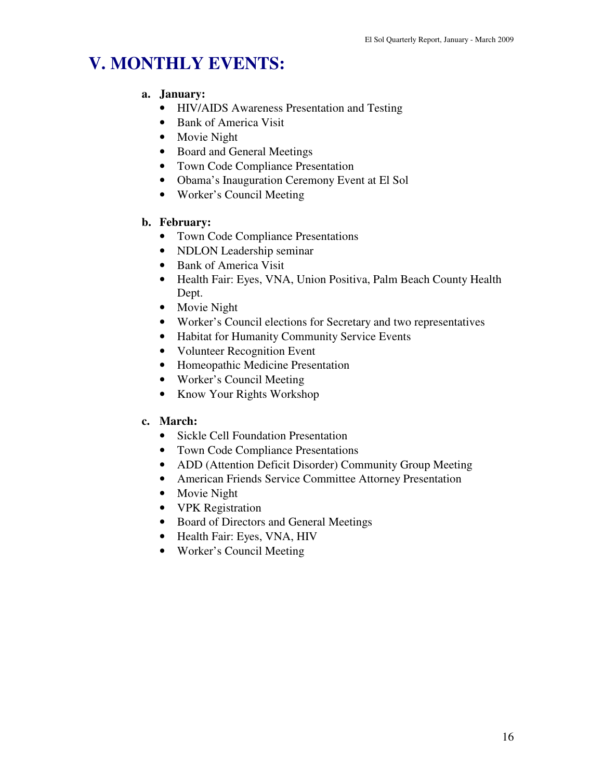# **V. MONTHLY EVENTS:**

#### **a. January:**

- HIV/AIDS Awareness Presentation and Testing
- Bank of America Visit
- Movie Night
- Board and General Meetings
- Town Code Compliance Presentation
- Obama's Inauguration Ceremony Event at El Sol
- Worker's Council Meeting

### **b. February:**

- Town Code Compliance Presentations
- NDLON Leadership seminar
- Bank of America Visit
- Health Fair: Eyes, VNA, Union Positiva, Palm Beach County Health Dept.
- Movie Night
- Worker's Council elections for Secretary and two representatives
- Habitat for Humanity Community Service Events
- Volunteer Recognition Event
- Homeopathic Medicine Presentation
- Worker's Council Meeting
- Know Your Rights Workshop

## **c. March:**

- Sickle Cell Foundation Presentation
- Town Code Compliance Presentations
- ADD (Attention Deficit Disorder) Community Group Meeting
- American Friends Service Committee Attorney Presentation
- Movie Night
- **VPK** Registration
- Board of Directors and General Meetings
- Health Fair: Eyes, VNA, HIV
- Worker's Council Meeting